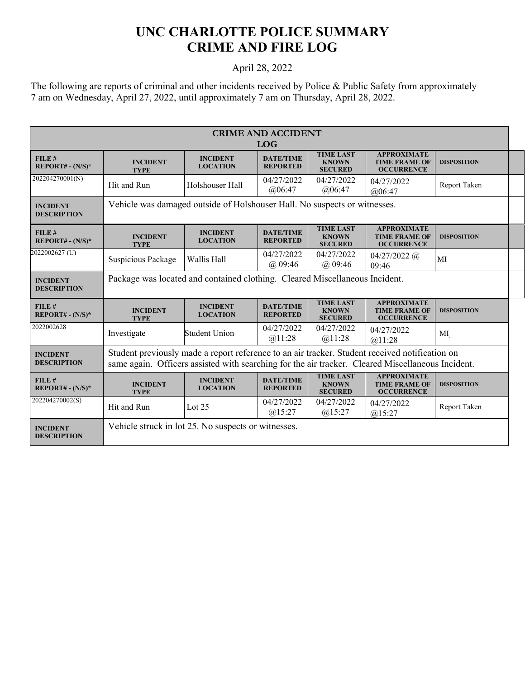## **UNC CHARLOTTE POLICE SUMMARY CRIME AND FIRE LOG**

## April 28, 2022

The following are reports of criminal and other incidents received by Police & Public Safety from approximately 7 am on Wednesday, April 27, 2022, until approximately 7 am on Thursday, April 28, 2022.

| <b>CRIME AND ACCIDENT</b>             |                                                                                                                                                                                                     |                                    |                                     |                                                    |                                                                 |                    |  |  |
|---------------------------------------|-----------------------------------------------------------------------------------------------------------------------------------------------------------------------------------------------------|------------------------------------|-------------------------------------|----------------------------------------------------|-----------------------------------------------------------------|--------------------|--|--|
| <b>LOG</b>                            |                                                                                                                                                                                                     |                                    |                                     |                                                    |                                                                 |                    |  |  |
| FILE#<br>$REPORT# - (N/S)*$           | <b>INCIDENT</b><br><b>TYPE</b>                                                                                                                                                                      | <b>INCIDENT</b><br><b>LOCATION</b> | <b>DATE/TIME</b><br><b>REPORTED</b> | <b>TIME LAST</b><br><b>KNOWN</b><br><b>SECURED</b> | <b>APPROXIMATE</b><br><b>TIME FRAME OF</b><br><b>OCCURRENCE</b> | <b>DISPOSITION</b> |  |  |
| 202204270001(N)                       | Hit and Run                                                                                                                                                                                         | Holshouser Hall                    | 04/27/2022<br>@06:47                | 04/27/2022<br>@06:47                               | 04/27/2022<br>@06:47                                            | Report Taken       |  |  |
| <b>INCIDENT</b><br><b>DESCRIPTION</b> | Vehicle was damaged outside of Holshouser Hall. No suspects or witnesses.                                                                                                                           |                                    |                                     |                                                    |                                                                 |                    |  |  |
| FILE#<br>$REPORT# - (N/S)*$           | <b>INCIDENT</b><br><b>TYPE</b>                                                                                                                                                                      | <b>INCIDENT</b><br><b>LOCATION</b> | <b>DATE/TIME</b><br><b>REPORTED</b> | <b>TIME LAST</b><br><b>KNOWN</b><br><b>SECURED</b> | <b>APPROXIMATE</b><br><b>TIME FRAME OF</b><br><b>OCCURRENCE</b> | <b>DISPOSITION</b> |  |  |
| 2022002627 (U)                        | Suspicious Package                                                                                                                                                                                  | Wallis Hall                        | 04/27/2022<br>$(a)$ 09:46           | 04/27/2022<br>$(a)$ 09:46                          | $04/27/2022$ (a)<br>09:46                                       | MI                 |  |  |
| <b>INCIDENT</b><br><b>DESCRIPTION</b> | Package was located and contained clothing. Cleared Miscellaneous Incident.                                                                                                                         |                                    |                                     |                                                    |                                                                 |                    |  |  |
| FILE#<br>$REPORT# - (N/S)*$           | <b>INCIDENT</b><br><b>TYPE</b>                                                                                                                                                                      | <b>INCIDENT</b><br><b>LOCATION</b> | <b>DATE/TIME</b><br><b>REPORTED</b> | <b>TIME LAST</b><br><b>KNOWN</b><br><b>SECURED</b> | <b>APPROXIMATE</b><br><b>TIME FRAME OF</b><br><b>OCCURRENCE</b> | <b>DISPOSITION</b> |  |  |
| 2022002628                            | Investigate                                                                                                                                                                                         | <b>Student Union</b>               | 04/27/2022<br>@11:28                | 04/27/2022<br>@11:28                               | 04/27/2022<br>@11:28                                            | MI                 |  |  |
| <b>INCIDENT</b><br><b>DESCRIPTION</b> | Student previously made a report reference to an air tracker. Student received notification on<br>same again. Officers assisted with searching for the air tracker. Cleared Miscellaneous Incident. |                                    |                                     |                                                    |                                                                 |                    |  |  |
| FILE#<br>$REPORT# - (N/S)*$           | <b>INCIDENT</b><br><b>TYPE</b>                                                                                                                                                                      | <b>INCIDENT</b><br><b>LOCATION</b> | <b>DATE/TIME</b><br><b>REPORTED</b> | <b>TIME LAST</b><br><b>KNOWN</b><br><b>SECURED</b> | <b>APPROXIMATE</b><br><b>TIME FRAME OF</b><br><b>OCCURRENCE</b> | <b>DISPOSITION</b> |  |  |
| 202204270002(S)                       | Hit and Run                                                                                                                                                                                         | Lot $25$                           | 04/27/2022<br>@15:27                | 04/27/2022<br>$(a)$ 15:27                          | 04/27/2022<br>$(a)$ 15:27                                       | Report Taken       |  |  |
| <b>INCIDENT</b><br><b>DESCRIPTION</b> | Vehicle struck in lot 25. No suspects or witnesses.                                                                                                                                                 |                                    |                                     |                                                    |                                                                 |                    |  |  |